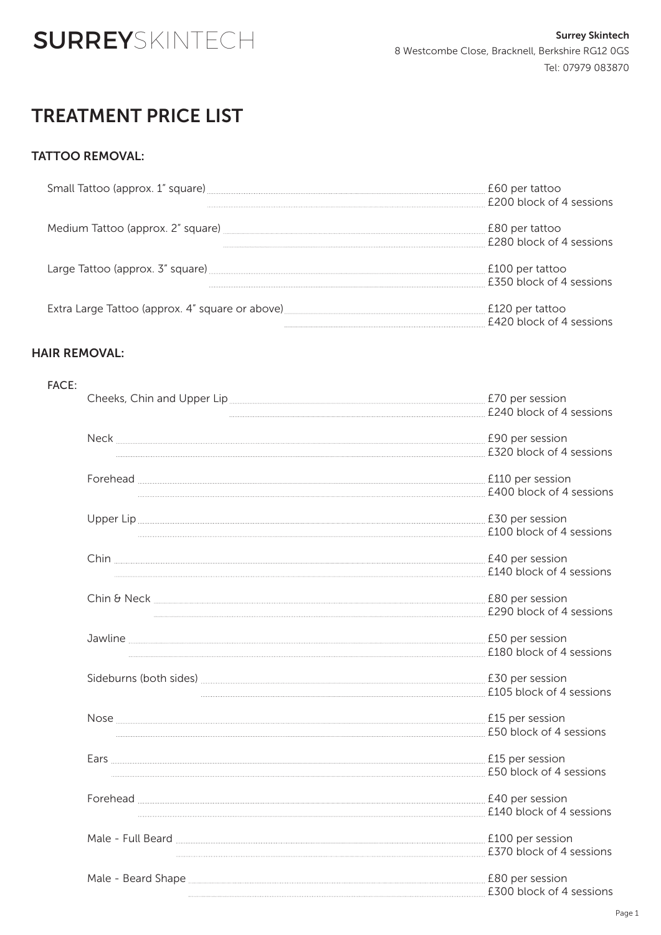

## TREATMENT PRICE LIST

#### TATTOO REMOVAL:

| Small Tattoo (approx. 1" square) | £60 per tattoo           |
|----------------------------------|--------------------------|
|                                  | £200 block of 4 sessions |
|                                  | £80 per tattoo           |
|                                  | £280 block of 4 sessions |
| Large Tattoo (approx. 3" square) | £100 per tattoo          |
|                                  | £350 block of 4 sessions |
|                                  | £120 per tattoo          |
|                                  | £420 block of 4 sessions |

#### HAIR REMOVAL:

| <b>FACE:</b> |                                                                                                                                                                                                                                                                                                          |                          |
|--------------|----------------------------------------------------------------------------------------------------------------------------------------------------------------------------------------------------------------------------------------------------------------------------------------------------------|--------------------------|
|              |                                                                                                                                                                                                                                                                                                          | £70 per session          |
|              |                                                                                                                                                                                                                                                                                                          | £240 block of 4 sessions |
|              |                                                                                                                                                                                                                                                                                                          | £90 per session          |
|              |                                                                                                                                                                                                                                                                                                          | £320 block of 4 sessions |
|              | Forehead E110 per session                                                                                                                                                                                                                                                                                |                          |
|              |                                                                                                                                                                                                                                                                                                          |                          |
|              | Upper Lip E30 per session                                                                                                                                                                                                                                                                                |                          |
|              |                                                                                                                                                                                                                                                                                                          | £100 block of 4 sessions |
|              | Chin                                                                                                                                                                                                                                                                                                     | £40 per session          |
|              |                                                                                                                                                                                                                                                                                                          | £140 block of 4 sessions |
|              | Chin & Neck <u>Channel Chin &amp; Neck Chin &amp; Neck Chin &amp; Neck Chin &amp; Neck Chin &amp; Neck Chin &amp; Neck Chin &amp; Neck Chin &amp; Neck Chin &amp; Neck Chin &amp; Neck Chin &amp; Neck Chin &amp; Neck Chin &amp; Neck Chin &amp; Neck Chin &amp; Neck Chin &amp; Neck Chin &amp; Ne</u> |                          |
|              |                                                                                                                                                                                                                                                                                                          | £290 block of 4 sessions |
|              | Jawline <b>Maria American Communication</b> (ESO per session                                                                                                                                                                                                                                             |                          |
|              |                                                                                                                                                                                                                                                                                                          |                          |
|              |                                                                                                                                                                                                                                                                                                          |                          |
|              |                                                                                                                                                                                                                                                                                                          | £105 block of 4 sessions |
|              |                                                                                                                                                                                                                                                                                                          | £15 per session          |
|              |                                                                                                                                                                                                                                                                                                          | £50 block of 4 sessions  |
|              |                                                                                                                                                                                                                                                                                                          | £15 per session          |
|              |                                                                                                                                                                                                                                                                                                          | £50 block of 4 sessions  |
|              | Forehead <b>Example 20</b> per session                                                                                                                                                                                                                                                                   |                          |
|              |                                                                                                                                                                                                                                                                                                          | £140 block of 4 sessions |
|              | Male - Full Beard <b>Election</b> Contains the State of Election Contains E100 per session                                                                                                                                                                                                               |                          |
|              |                                                                                                                                                                                                                                                                                                          | £370 block of 4 sessions |
|              | Male - Beard Shape <u>Communications</u> and the session of the session of the session of the session of the session                                                                                                                                                                                     |                          |
|              |                                                                                                                                                                                                                                                                                                          | £300 block of 4 sessions |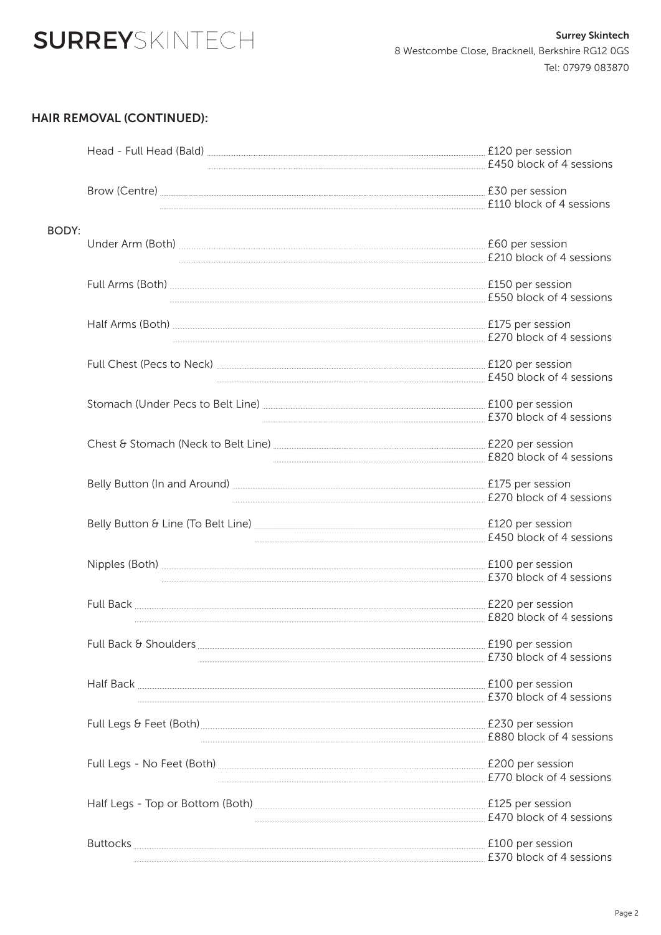# **SURREY**SKINTECH

### HAIR REMOVAL (CONTINUED):

|       |                                                                                                                                                                                                                                                              | £120 per session<br>£450 block of 4 sessions  |
|-------|--------------------------------------------------------------------------------------------------------------------------------------------------------------------------------------------------------------------------------------------------------------|-----------------------------------------------|
|       | Brow (Centre) <u>Cannon Communication</u> E30 per session                                                                                                                                                                                                    | £110 block of 4 sessions                      |
| BODY: |                                                                                                                                                                                                                                                              | . £60 per session<br>£210 block of 4 sessions |
|       |                                                                                                                                                                                                                                                              |                                               |
|       |                                                                                                                                                                                                                                                              |                                               |
|       |                                                                                                                                                                                                                                                              | £450 block of 4 sessions                      |
|       |                                                                                                                                                                                                                                                              | £370 block of 4 sessions                      |
|       |                                                                                                                                                                                                                                                              | £820 block of 4 sessions                      |
|       | Belly Button (In and Around) <b>ELEVALUATE:</b> E175 per session                                                                                                                                                                                             | £270 block of 4 sessions                      |
|       | Belly Button & Line (To Belt Line) [120] Der session [120] per session                                                                                                                                                                                       | £450 block of 4 sessions                      |
|       |                                                                                                                                                                                                                                                              | £370 block of 4 sessions                      |
|       | Full Back <u>Communications</u> E220 per session                                                                                                                                                                                                             | £820 block of 4 sessions                      |
|       | Full Back & Shoulders <b>Election</b> Control and Structure Control and Structure Control and Structure Control and Structure Control and Structure Control and Structure Control and Structure Control and Structure Control and S                          | £730 block of 4 sessions                      |
|       | Half Back Elong Pression E100 per session                                                                                                                                                                                                                    | £370 block of 4 sessions                      |
|       |                                                                                                                                                                                                                                                              | £880 block of 4 sessions                      |
|       | Full Legs - No Feet (Both) <u>[</u> [11] Full Legs - No Feet (Both) <b>[201]</b> Full Legs - No Feet (Both) <b>[201]</b> Full Legs - No Feet (Both) <b>[201]</b> Full Legs - No Feet (Both) <b>[201]</b> Full Legs - No Feet (Both) <b>[201]</b> Full Legs - | £770 block of 4 sessions                      |
|       |                                                                                                                                                                                                                                                              | £470 block of 4 sessions                      |
|       | Buttocks Elong per session and the set of the session of the session of the session of the session of the session of the session of the session of the session of the session of the session of the session of the session of                                | £370 block of 4 sessions                      |